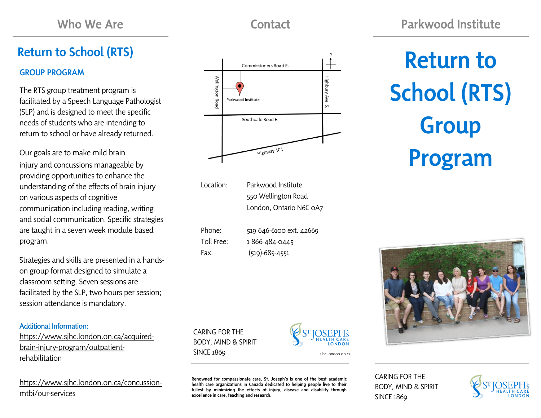# Return to School (RTS)

## GROUP PROGRAM

The RTS group treatment program is facilitated by a Speech Language Pathologist (SLP) and is designed to meet the specific needs of students who are intending to return to school or have already returned.

Our goals are to make mild brain injury and concussions manageable by providing opportunities to enhance the understanding of the effects of brain injury on various aspects of cognitive communication including reading, writing and social communication. Specific strategies are taught in a seven week module based program.

Strategies and skills are presented in a handson group format designed to simulate a classroom setting. Seven sessions are facilitated by the SLP, two hours per session; session attendance is mandatory.

#### Additional Information:

[https://www.sjhc.london.on.ca/acquired](https://www.sjhc.london.on.ca/acquired-brain-injury-program/outpatient-rehabilitation)[brain-injury-program/outpatient](https://www.sjhc.london.on.ca/acquired-brain-injury-program/outpatient-rehabilitation)[rehabilitation](https://www.sjhc.london.on.ca/acquired-brain-injury-program/outpatient-rehabilitation)

[https://www.sjhc.london.on.ca/concussion](https://www.sjhc.london.on.ca/concussion-mtbi/our-services)[mtbi/our-services](https://www.sjhc.london.on.ca/concussion-mtbi/our-services)

Commissioners Road E.

Southdale Road E.

Highbury

ίN,

Return to School (RTS) **Group** Program

Location: Parkwood Institute 550 Wellington Road London, Ontario N6C 0A7

Highway 401

| Phone:     | 519 646-6100 ext. 42669 |
|------------|-------------------------|
| Toll Free: | 1-866-484-0445          |
| Fax:       | $(519) - 685 - 4551$    |

SINCE 1869 sinc.london.on.ca

excellence in care, teaching and research.

CARING FOR THE BODY, MIND & SPIRIT

Wellington

**Road** 

Parkwood Institute

Renowned for compassionate care, St. Joseph's is one of the best academic health care organizations in Canada dedicated to helping people live to their fullest by minimizing the effects of injury, disease and disability through

LONDON